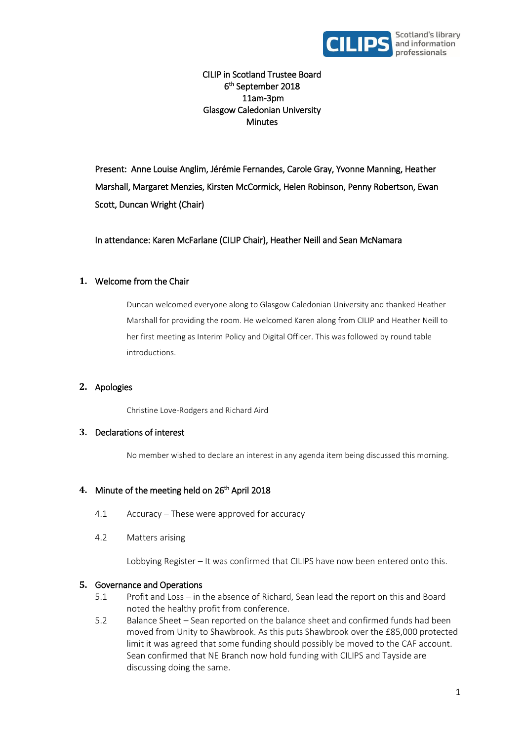

CILIP in Scotland Trustee Board 6 th September 2018 11am-3pm Glasgow Caledonian University **Minutes** 

Present: Anne Louise Anglim, Jérémie Fernandes, Carole Gray, Yvonne Manning, Heather Marshall, Margaret Menzies, Kirsten McCormick, Helen Robinson, Penny Robertson, Ewan Scott, Duncan Wright (Chair)

In attendance: Karen McFarlane (CILIP Chair), Heather Neill and Sean McNamara

## **1.** Welcome from the Chair

Duncan welcomed everyone along to Glasgow Caledonian University and thanked Heather Marshall for providing the room. He welcomed Karen along from CILIP and Heather Neill to her first meeting as Interim Policy and Digital Officer. This was followed by round table introductions.

## **2.** Apologies

Christine Love-Rodgers and Richard Aird

## **3.** Declarations of interest

No member wished to declare an interest in any agenda item being discussed this morning.

# 4. Minute of the meeting held on 26<sup>th</sup> April 2018

- 4.1 Accuracy These were approved for accuracy
- 4.2 Matters arising

Lobbying Register – It was confirmed that CILIPS have now been entered onto this.

## **5.** Governance and Operations

- 5.1 Profit and Loss in the absence of Richard, Sean lead the report on this and Board noted the healthy profit from conference.
- 5.2 Balance Sheet Sean reported on the balance sheet and confirmed funds had been moved from Unity to Shawbrook. As this puts Shawbrook over the £85,000 protected limit it was agreed that some funding should possibly be moved to the CAF account. Sean confirmed that NE Branch now hold funding with CILIPS and Tayside are discussing doing the same.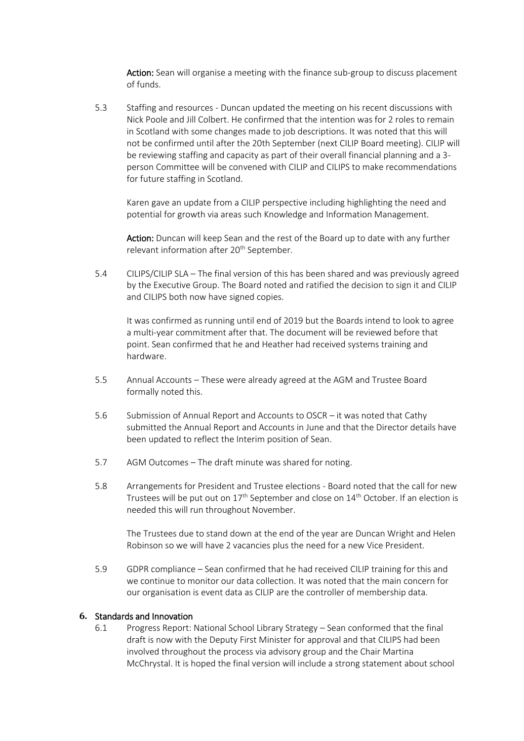Action: Sean will organise a meeting with the finance sub-group to discuss placement of funds.

5.3 Staffing and resources - Duncan updated the meeting on his recent discussions with Nick Poole and Jill Colbert. He confirmed that the intention was for 2 roles to remain in Scotland with some changes made to job descriptions. It was noted that this will not be confirmed until after the 20th September (next CILIP Board meeting). CILIP will be reviewing staffing and capacity as part of their overall financial planning and a 3 person Committee will be convened with CILIP and CILIPS to make recommendations for future staffing in Scotland.

Karen gave an update from a CILIP perspective including highlighting the need and potential for growth via areas such Knowledge and Information Management.

Action: Duncan will keep Sean and the rest of the Board up to date with any further relevant information after 20<sup>th</sup> September.

5.4 CILIPS/CILIP SLA – The final version of this has been shared and was previously agreed by the Executive Group. The Board noted and ratified the decision to sign it and CILIP and CILIPS both now have signed copies.

It was confirmed as running until end of 2019 but the Boards intend to look to agree a multi-year commitment after that. The document will be reviewed before that point. Sean confirmed that he and Heather had received systems training and hardware.

- 5.5 Annual Accounts These were already agreed at the AGM and Trustee Board formally noted this.
- 5.6 Submission of Annual Report and Accounts to OSCR it was noted that Cathy submitted the Annual Report and Accounts in June and that the Director details have been updated to reflect the Interim position of Sean.
- 5.7 AGM Outcomes The draft minute was shared for noting.
- 5.8 Arrangements for President and Trustee elections Board noted that the call for new Trustees will be put out on 17<sup>th</sup> September and close on 14<sup>th</sup> October. If an election is needed this will run throughout November.

The Trustees due to stand down at the end of the year are Duncan Wright and Helen Robinson so we will have 2 vacancies plus the need for a new Vice President.

5.9 GDPR compliance – Sean confirmed that he had received CILIP training for this and we continue to monitor our data collection. It was noted that the main concern for our organisation is event data as CILIP are the controller of membership data.

#### **6.** Standards and Innovation

6.1 Progress Report: National School Library Strategy – Sean conformed that the final draft is now with the Deputy First Minister for approval and that CILIPS had been involved throughout the process via advisory group and the Chair Martina McChrystal. It is hoped the final version will include a strong statement about school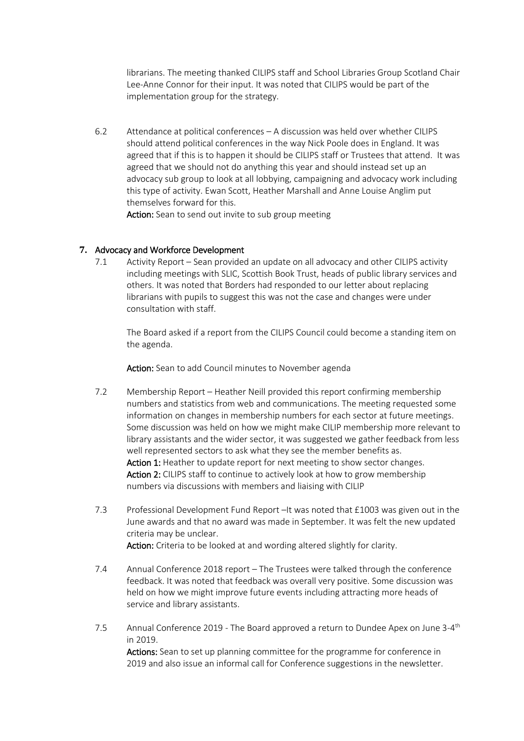librarians. The meeting thanked CILIPS staff and School Libraries Group Scotland Chair Lee-Anne Connor for their input. It was noted that CILIPS would be part of the implementation group for the strategy.

6.2 Attendance at political conferences – A discussion was held over whether CILIPS should attend political conferences in the way Nick Poole does in England. It was agreed that if this is to happen it should be CILIPS staff or Trustees that attend. It was agreed that we should not do anything this year and should instead set up an advocacy sub group to look at all lobbying, campaigning and advocacy work including this type of activity. Ewan Scott, Heather Marshall and Anne Louise Anglim put themselves forward for this.

Action: Sean to send out invite to sub group meeting

## **7.** Advocacy and Workforce Development

7.1 Activity Report – Sean provided an update on all advocacy and other CILIPS activity including meetings with SLIC, Scottish Book Trust, heads of public library services and others. It was noted that Borders had responded to our letter about replacing librarians with pupils to suggest this was not the case and changes were under consultation with staff.

The Board asked if a report from the CILIPS Council could become a standing item on the agenda.

Action: Sean to add Council minutes to November agenda

- 7.2 Membership Report Heather Neill provided this report confirming membership numbers and statistics from web and communications. The meeting requested some information on changes in membership numbers for each sector at future meetings. Some discussion was held on how we might make CILIP membership more relevant to library assistants and the wider sector, it was suggested we gather feedback from less well represented sectors to ask what they see the member benefits as. Action 1: Heather to update report for next meeting to show sector changes. Action 2: CILIPS staff to continue to actively look at how to grow membership numbers via discussions with members and liaising with CILIP
- 7.3 Professional Development Fund Report –It was noted that £1003 was given out in the June awards and that no award was made in September. It was felt the new updated criteria may be unclear.

Action: Criteria to be looked at and wording altered slightly for clarity.

- 7.4 Annual Conference 2018 report The Trustees were talked through the conference feedback. It was noted that feedback was overall very positive. Some discussion was held on how we might improve future events including attracting more heads of service and library assistants.
- 7.5 Annual Conference 2019 The Board approved a return to Dundee Apex on June 3-4<sup>th</sup> in 2019.

Actions: Sean to set up planning committee for the programme for conference in 2019 and also issue an informal call for Conference suggestions in the newsletter.